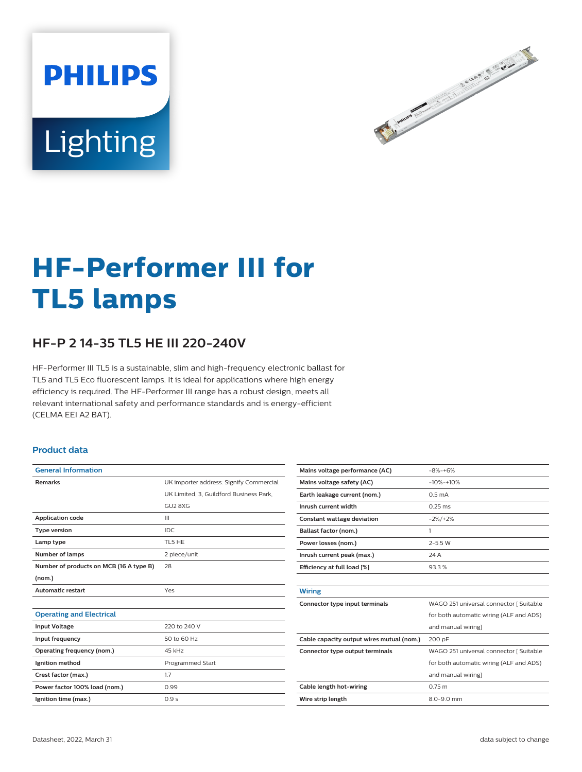



# **HF-Performer III for TL5 lamps**

## **HF-P 2 14-35 TL5 HE III 220-240V**

HF-Performer III TL5 is a sustainable, slim and high-frequency electronic ballast for TL5 and TL5 Eco fluorescent lamps. It is ideal for applications where high energy efficiency is required. The HF-Performer III range has a robust design, meets all relevant international safety and performance standards and is energy-efficient (CELMA EEI A2 BAT).

#### **Product data**

| <b>General Information</b>              |                                         |  |  |  |  |
|-----------------------------------------|-----------------------------------------|--|--|--|--|
| <b>Remarks</b>                          | UK importer address: Signify Commercial |  |  |  |  |
|                                         | UK Limited, 3, Guildford Business Park, |  |  |  |  |
|                                         | GU2 8XG                                 |  |  |  |  |
| <b>Application code</b>                 | Ш                                       |  |  |  |  |
| <b>Type version</b>                     | IDC.                                    |  |  |  |  |
| Lamp type                               | TL5 HE                                  |  |  |  |  |
| <b>Number of lamps</b>                  | 2 piece/unit                            |  |  |  |  |
| Number of products on MCB (16 A type B) | 28                                      |  |  |  |  |
| (nom.)                                  |                                         |  |  |  |  |
| <b>Automatic restart</b>                | Yes                                     |  |  |  |  |
|                                         |                                         |  |  |  |  |
| <b>Operating and Electrical</b>         |                                         |  |  |  |  |
| <b>Input Voltage</b>                    | 220 to 240 V                            |  |  |  |  |
| Input frequency                         | 50 to 60 Hz                             |  |  |  |  |
| Operating frequency (nom.)              | 45 kHz                                  |  |  |  |  |
| Ignition method                         | <b>Programmed Start</b>                 |  |  |  |  |
| Crest factor (max.)                     | 1.7                                     |  |  |  |  |
| Power factor 100% load (nom.)           | 0.99                                    |  |  |  |  |
| Ignition time (max.)                    | 0.9s                                    |  |  |  |  |

| Mains voltage performance (AC)            | $-8% -+6%$                              |  |  |  |
|-------------------------------------------|-----------------------------------------|--|--|--|
| Mains voltage safety (AC)                 | $-10% - +10%$                           |  |  |  |
| Earth leakage current (nom.)              | 0.5 <sub>m</sub> A                      |  |  |  |
| Inrush current width                      | $0.25$ ms                               |  |  |  |
| <b>Constant wattage deviation</b>         | $-2\%/+2\%$                             |  |  |  |
| Ballast factor (nom.)                     | 1                                       |  |  |  |
| Power losses (nom.)                       | $2 - 5.5 W$                             |  |  |  |
| Inrush current peak (max.)                | 24 A                                    |  |  |  |
| Efficiency at full load [%]               | 93.3%                                   |  |  |  |
|                                           |                                         |  |  |  |
| <b>Wiring</b>                             |                                         |  |  |  |
| Connector type input terminals            | WAGO 251 universal connector [ Suitable |  |  |  |
|                                           | for both automatic wiring (ALF and ADS) |  |  |  |
|                                           | and manual wiring]                      |  |  |  |
| Cable capacity output wires mutual (nom.) | 200 pF                                  |  |  |  |
| Connector type output terminals           | WAGO 251 universal connector [ Suitable |  |  |  |
|                                           | for both automatic wiring (ALF and ADS) |  |  |  |
|                                           | and manual wiring]                      |  |  |  |
| Cable length hot-wiring                   | $0.75$ m                                |  |  |  |
| Wire strip length                         | $8.0 - 9.0$ mm                          |  |  |  |
|                                           |                                         |  |  |  |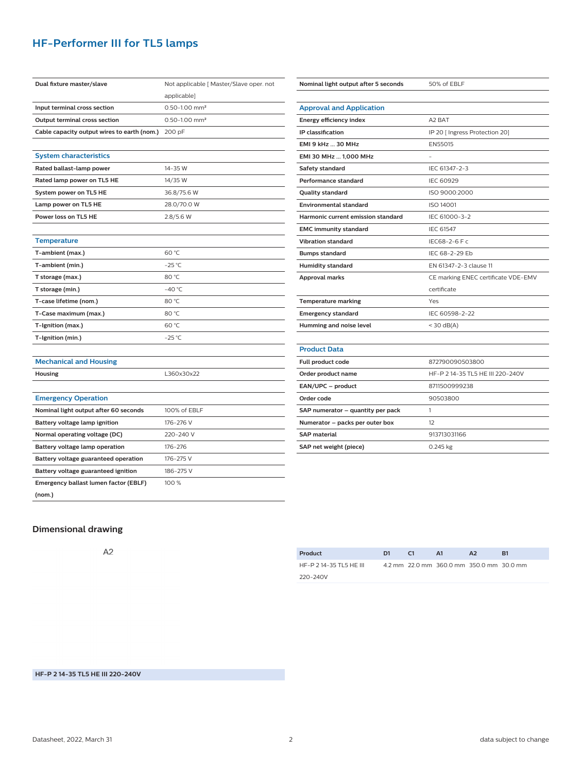## **HF-Performer III for TL5 lamps**

| Dual fixture master/slave                   | Not applicable [ Master/Slave oper. not |  |  |  |  |
|---------------------------------------------|-----------------------------------------|--|--|--|--|
|                                             | applicable]                             |  |  |  |  |
| Input terminal cross section                | $0.50 - 1.00$ mm <sup>2</sup>           |  |  |  |  |
| Output terminal cross section               | $0.50 - 1.00$ mm <sup>2</sup>           |  |  |  |  |
| Cable capacity output wires to earth (nom.) | 200 pF                                  |  |  |  |  |
|                                             |                                         |  |  |  |  |
| <b>System characteristics</b>               |                                         |  |  |  |  |
| Rated ballast-lamp power                    | 14-35 W                                 |  |  |  |  |
| Rated lamp power on TL5 HE                  | 14/35 W                                 |  |  |  |  |
| System power on TL5 HE                      | 36.8/75.6 W                             |  |  |  |  |
| Lamp power on TL5 HE                        | 28.0/70.0 W                             |  |  |  |  |
| Power loss on TL5 HE                        | 2.8/5.6 W                               |  |  |  |  |
|                                             |                                         |  |  |  |  |
| <b>Temperature</b>                          |                                         |  |  |  |  |
| T-ambient (max.)                            | 60 °C                                   |  |  |  |  |
| T-ambient (min.)                            | $-25^{\circ}$ C                         |  |  |  |  |
| T storage (max.)                            | 80 °C                                   |  |  |  |  |
| T storage (min.)                            | $-40 °C$                                |  |  |  |  |
| T-case lifetime (nom.)                      | 80 °C                                   |  |  |  |  |
| T-Case maximum (max.)                       | 80 °C                                   |  |  |  |  |
| T-Ignition (max.)                           | 60 °C                                   |  |  |  |  |
| T-Ignition (min.)                           | $-25$ °C                                |  |  |  |  |
|                                             |                                         |  |  |  |  |
| <b>Mechanical and Housing</b>               |                                         |  |  |  |  |
| <b>Housing</b>                              | L360x30x22                              |  |  |  |  |
|                                             |                                         |  |  |  |  |
| <b>Emergency Operation</b>                  |                                         |  |  |  |  |
| Nominal light output after 60 seconds       | 100% of EBLF                            |  |  |  |  |
| Battery voltage lamp ignition               | 176-276 V                               |  |  |  |  |
| Normal operating voltage (DC)               | 220-240 V                               |  |  |  |  |
| Battery voltage lamp operation              | 176-276                                 |  |  |  |  |
| Battery voltage guaranteed operation        | 176-275 V                               |  |  |  |  |
| Battery voltage guaranteed ignition         | 186-275 V                               |  |  |  |  |
| Emergency ballast lumen factor (EBLF)       | 100%                                    |  |  |  |  |
| (nom.)                                      |                                         |  |  |  |  |

| Nominal light output after 5 seconds | 50% of EBLF                         |  |  |  |
|--------------------------------------|-------------------------------------|--|--|--|
|                                      |                                     |  |  |  |
| <b>Approval and Application</b>      |                                     |  |  |  |
| Energy efficiency index              | A <sub>2</sub> BAT                  |  |  |  |
| <b>IP</b> classification             | IP 20 [ Ingress Protection 20]      |  |  |  |
| <b>EMI 9 kHz  30 MHz</b>             | <b>EN55015</b>                      |  |  |  |
| EMI 30 MHz  1.000 MHz                |                                     |  |  |  |
| Safety standard                      | IEC 61347-2-3                       |  |  |  |
| Performance standard                 | <b>IEC 60929</b>                    |  |  |  |
| <b>Quality standard</b>              | ISO 9000:2000                       |  |  |  |
| <b>Environmental standard</b>        | ISO 14001                           |  |  |  |
| Harmonic current emission standard   | IEC 61000-3-2                       |  |  |  |
| <b>EMC immunity standard</b>         | IEC 61547                           |  |  |  |
| <b>Vibration standard</b>            | IEC68-2-6 F c                       |  |  |  |
| <b>Bumps standard</b>                | IEC 68-2-29 Eb                      |  |  |  |
| <b>Humidity standard</b>             | EN 61347-2-3 clause 11              |  |  |  |
| <b>Approval marks</b>                | CE marking ENEC certificate VDE-EMV |  |  |  |
|                                      | certificate                         |  |  |  |
| <b>Temperature marking</b>           | Yes                                 |  |  |  |
| <b>Emergency standard</b>            | IEC 60598-2-22                      |  |  |  |
| Humming and noise level              | $<$ 30 dB(A)                        |  |  |  |
|                                      |                                     |  |  |  |
| <b>Product Data</b>                  |                                     |  |  |  |
| Full product code                    | 872790090503800                     |  |  |  |
| Order product name                   | HF-P 2 14-35 TL5 HE III 220-240V    |  |  |  |
| EAN/UPC - product                    | 8711500999238                       |  |  |  |
| Order code                           | 90503800                            |  |  |  |
| SAP numerator - quantity per pack    | 1                                   |  |  |  |
| Numerator - packs per outer box      | 12                                  |  |  |  |
| <b>SAP material</b>                  | 913713031166                        |  |  |  |
| SAP net weight (piece)               | $0.245$ kg                          |  |  |  |

## **Dimensional drawing**

 $A2$ 

| Product                 | D1 | C1 | A1                                       | $\mathbf{A}$ | R1 |
|-------------------------|----|----|------------------------------------------|--------------|----|
| HF-P 2 14-35 TL5 HE III |    |    | 4.2 mm 22.0 mm 360.0 mm 350.0 mm 30.0 mm |              |    |
| 220-240V                |    |    |                                          |              |    |

### **HF-P 2 14-35 TL5 HE III 220-240V**